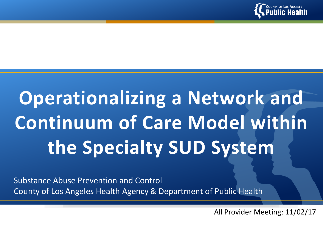

# **Operationalizing a Network and Continuum of Care Model within the Specialty SUD System**

Substance Abuse Prevention and Control County of Los Angeles Health Agency & Department of Public Health

All Provider Meeting: 11/02/17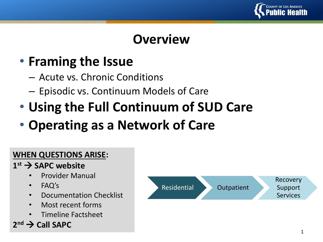

## **Overview**

## • **Framing the Issue**

- Acute vs. Chronic Conditions
- Episodic vs. Continuum Models of Care
- **Using the Full Continuum of SUD Care**

## • **Operating as a Network of Care**

#### **WHEN QUESTIONS ARISE:**

#### **1 st SAPC website**

- Provider Manual
- FAQ's
- Documentation Checklist
- Most recent forms
- Timeline Factsheet



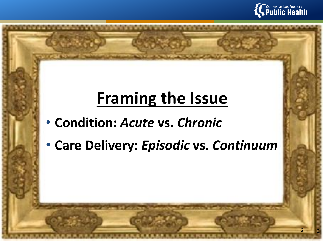

2

2

# **Framing the Issue**

- **Condition:** *Acute* **vs.** *Chronic*
- **Care Delivery:** *Episodic* **vs.** *Continuum*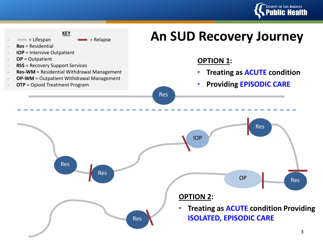

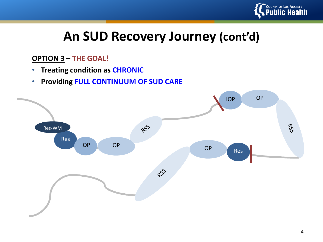

## **An SUD Recovery Journey (cont'd)**

#### **OPTION 3 – THE GOAL!**

- **Treating condition as CHRONIC**
- **Providing FULL CONTINUUM OF SUD CARE**

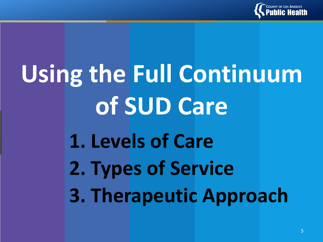

# **1. Levels of Care 2. Types of Service 3. Therapeutic Approach Using the Full Continuum of SUD Care**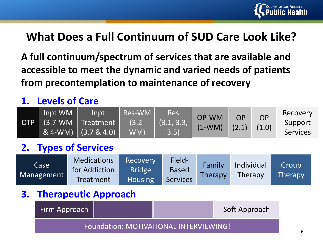

#### **What Does a Full Continuum of SUD Care Look Like?**

**A full continuum/spectrum of services that are available and accessible to meet the dynamic and varied needs of patients from precontemplation to maintenance of recovery**

#### **1. Levels of Care**

| OTP. | Inpt WM | Inpt<br>(3.7-WM Treatment  <br>& 4-WM) $(3.7 & 4.0)$ | Res-WM<br>$(3.2 -$<br>WM) | <b>Res</b><br>(3.1, 3.3, )<br>73.5) | OP-WM<br>$(1-WM)$ | <b>IOP</b><br>(2.1) | <b>OP</b><br>(1.0) | Recovery<br>Support<br><b>Services</b> |
|------|---------|------------------------------------------------------|---------------------------|-------------------------------------|-------------------|---------------------|--------------------|----------------------------------------|
|------|---------|------------------------------------------------------|---------------------------|-------------------------------------|-------------------|---------------------|--------------------|----------------------------------------|

#### **2. Types of Services**

| Case       | <b>Medications</b> | Recovery       | Field-       | Family  | Individual | Group   |
|------------|--------------------|----------------|--------------|---------|------------|---------|
| Management | for Addiction      | <b>Bridge</b>  | <b>Based</b> | Therapy | Therapy    | Therapy |
|            | Treatment          | <b>Housing</b> | Services     |         |            |         |

#### **3. Therapeutic Approach**

| Firm Approach                          |  |  | Soft Approach |  |  |  |
|----------------------------------------|--|--|---------------|--|--|--|
| Foundation: MOTIVATIONAL INTERVIEWING! |  |  |               |  |  |  |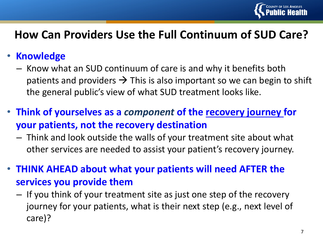

#### **How Can Providers Use the Full Continuum of SUD Care?**

#### • **Knowledge**

- Know what an SUD continuum of care is and why it benefits both patients and providers  $\rightarrow$  This is also important so we can begin to shift the general public's view of what SUD treatment looks like.
- **Think of yourselves as a** *component* **of the recovery journey for your patients, not the recovery destination**
	- Think and look outside the walls of your treatment site about what other services are needed to assist your patient's recovery journey.
- **THINK AHEAD about what your patients will need AFTER the services you provide them**
	- If you think of your treatment site as just one step of the recovery journey for your patients, what is their next step (e.g., next level of care)?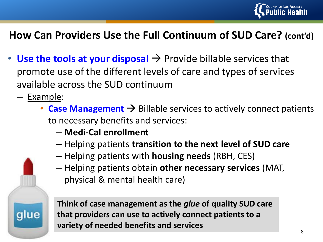

#### **How Can Providers Use the Full Continuum of SUD Care? (cont'd)**

- Use the tools at your disposal  $\rightarrow$  Provide billable services that promote use of the different levels of care and types of services available across the SUD continuum
	- Example:

glue

- **Case Management**  $\rightarrow$  Billable services to actively connect patients to necessary benefits and services:
	- **Medi-Cal enrollment**
	- Helping patients **transition to the next level of SUD care**
	- Helping patients with **housing needs** (RBH, CES)
	- Helping patients obtain **other necessary services** (MAT, physical & mental health care)

**Think of case management as the** *glue* **of quality SUD care that providers can use to actively connect patients to a variety of needed benefits and services**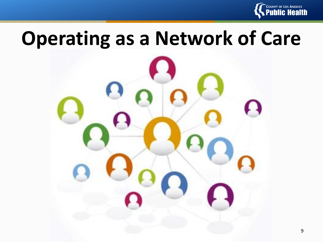

# **Operating as a Network of Care**

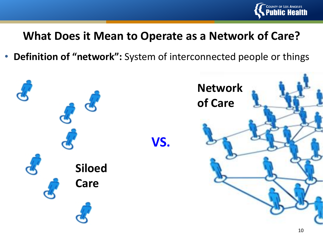

#### **What Does it Mean to Operate as a Network of Care?**

• **Definition of "network":** System of interconnected people or things

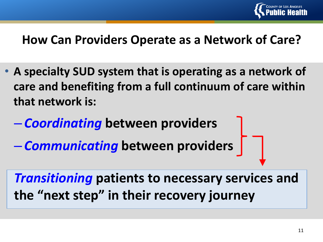

#### **How Can Providers Operate as a Network of Care?**

- **A specialty SUD system that is operating as a network of care and benefiting from a full continuum of care within that network is:**
	- *Coordinating* **between providers**
	- *Communicating* **between providers**

*Transitioning* **patients to necessary services and the "next step" in their recovery journey**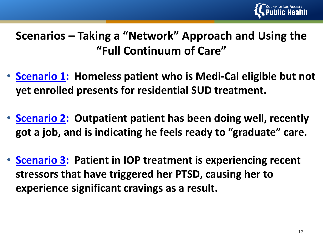

### **Scenarios – Taking a "Network" Approach and Using the "Full Continuum of Care"**

- **Scenario 1: Homeless patient who is Medi-Cal eligible but not yet enrolled presents for residential SUD treatment.**
- **Scenario 2: Outpatient patient has been doing well, recently got a job, and is indicating he feels ready to "graduate" care.**
- **Scenario 3: Patient in IOP treatment is experiencing recent stressors that have triggered her PTSD, causing her to experience significant cravings as a result.**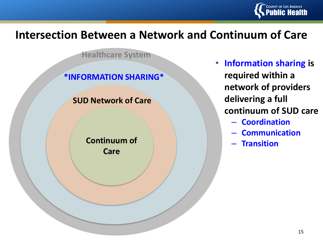

#### **Intersection Between a Network and Continuum of Care**

**Healthcare System**

#### **\*INFORMATION SHARING\***

**SUD Network of Care**

**Continuum of Care**

- **Information sharing is required within a network of providers delivering a full continuum of SUD care**
	- **Coordination**
	- **Communication**
	- **Transition**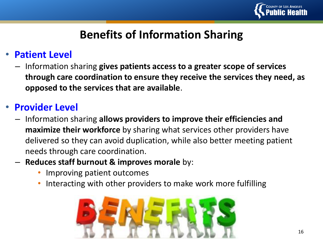

#### **Benefits of Information Sharing**

#### • **Patient Level**

– Information sharing **gives patients access to a greater scope of services through care coordination to ensure they receive the services they need, as opposed to the services that are available**.

#### • **Provider Level**

- Information sharing **allows providers to improve their efficiencies and maximize their workforce** by sharing what services other providers have delivered so they can avoid duplication, while also better meeting patient needs through care coordination.
- **Reduces staff burnout & improves morale** by:
	- Improving patient outcomes
	- Interacting with other providers to make work more fulfilling

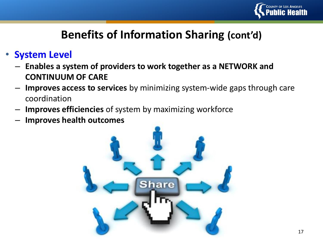

#### **Benefits of Information Sharing (cont'd)**

- **System Level**
	- **Enables a system of providers to work together as a NETWORK and CONTINUUM OF CARE**
	- **Improves access to services** by minimizing system-wide gaps through care coordination
	- **Improves efficiencies** of system by maximizing workforce
	- **Improves health outcomes**